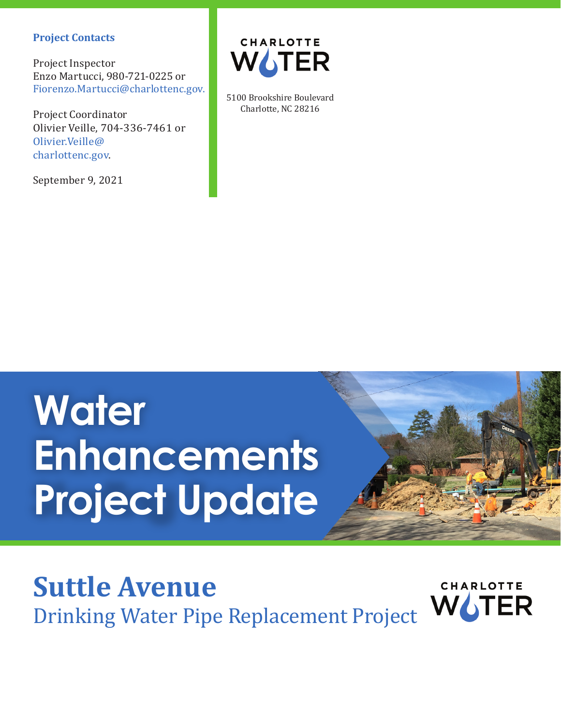#### **Project Contacts**

Project Inspector Enzo Martucci, 980-721-0225 or Fiorenzo.Martucci@charlottenc.gov.

Project Coordinator Olivier Veille, 704-336-7461 or Olivier.Veille@ charlottenc.gov.

September 9, 2021



5100 Brookshire Boulevard Charlotte, NC 28216

# **Water Enhancements Project Update**



### **Suttle Avenue CHARLOTTE** Drinking Water Pipe Replacement Project